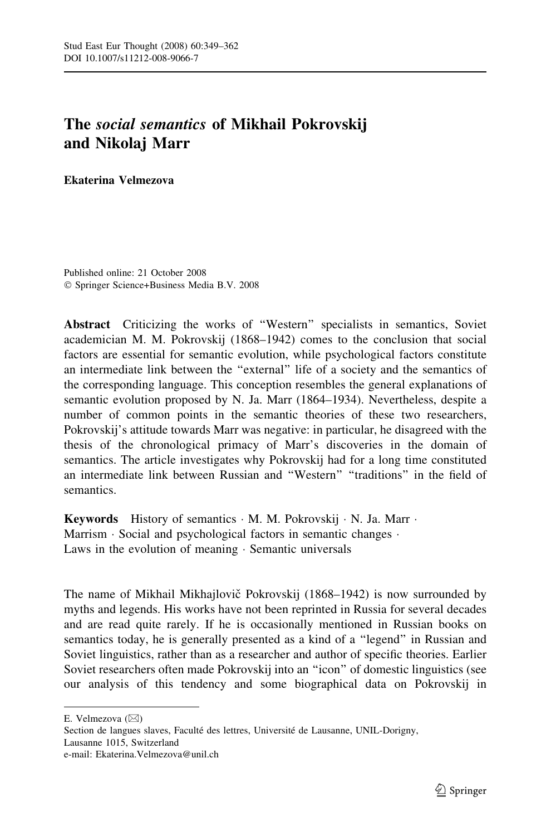## The social semantics of Mikhail Pokrovskij and Nikolaj Marr

Ekaterina Velmezova

Published online: 21 October 2008 Springer Science+Business Media B.V. 2008

Abstract Criticizing the works of ''Western'' specialists in semantics, Soviet academician M. M. Pokrovskij (1868–1942) comes to the conclusion that social factors are essential for semantic evolution, while psychological factors constitute an intermediate link between the ''external'' life of a society and the semantics of the corresponding language. This conception resembles the general explanations of semantic evolution proposed by N. Ja. Marr (1864–1934). Nevertheless, despite a number of common points in the semantic theories of these two researchers, Pokrovskij's attitude towards Marr was negative: in particular, he disagreed with the thesis of the chronological primacy of Marr's discoveries in the domain of semantics. The article investigates why Pokrovskij had for a long time constituted an intermediate link between Russian and ''Western'' ''traditions'' in the field of semantics.

Keywords History of semantics  $\cdot$  M. M. Pokrovskij  $\cdot$  N. Ja. Marr  $\cdot$ Marrism  $\cdot$  Social and psychological factors in semantic changes  $\cdot$ Laws in the evolution of meaning  $\cdot$  Semantic universals

The name of Mikhail Mikhajlovič Pokrovskij (1868–1942) is now surrounded by myths and legends. His works have not been reprinted in Russia for several decades and are read quite rarely. If he is occasionally mentioned in Russian books on semantics today, he is generally presented as a kind of a ''legend'' in Russian and Soviet linguistics, rather than as a researcher and author of specific theories. Earlier Soviet researchers often made Pokrovskij into an ''icon'' of domestic linguistics (see our analysis of this tendency and some biographical data on Pokrovskij in

E. Velmezova  $(\boxtimes)$ 

Section de langues slaves, Faculté des lettres, Université de Lausanne, UNIL-Dorigny, Lausanne 1015, Switzerland e-mail: Ekaterina.Velmezova@unil.ch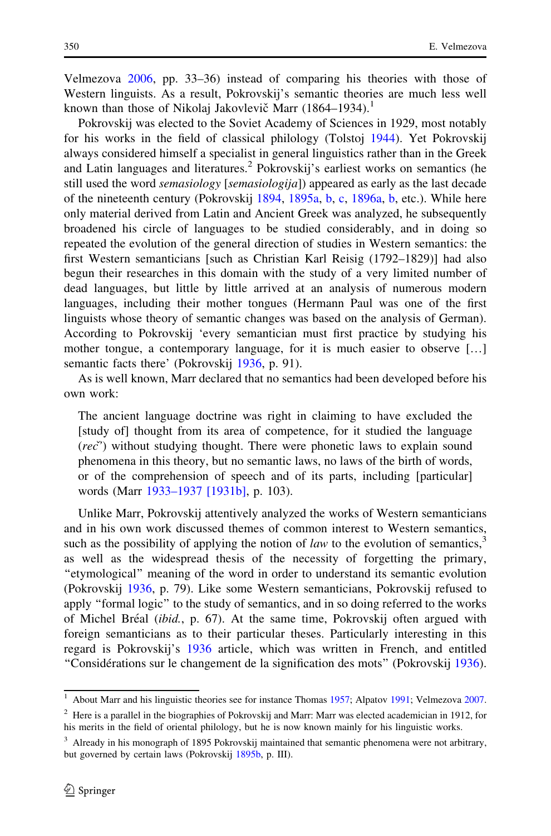Velmezova [2006,](#page-13-0) pp. 33–36) instead of comparing his theories with those of Western linguists. As a result, Pokrovskij's semantic theories are much less well known than those of Nikolaj Jakovlevič Marr  $(1864-1934).$ <sup>1</sup>

Pokrovskij was elected to the Soviet Academy of Sciences in 1929, most notably for his works in the field of classical philology (Tolstoj [1944](#page-13-0)). Yet Pokrovskij always considered himself a specialist in general linguistics rather than in the Greek and Latin languages and literatures.<sup>2</sup> Pokrovskij's earliest works on semantics (he still used the word *semasiology* [*semasiologija*]) appeared as early as the last decade of the nineteenth century (Pokrovskij [1894,](#page-12-0) [1895a,](#page-12-0) [b,](#page-12-0) [c,](#page-12-0) [1896a,](#page-12-0) [b](#page-12-0), etc.). While here only material derived from Latin and Ancient Greek was analyzed, he subsequently broadened his circle of languages to be studied considerably, and in doing so repeated the evolution of the general direction of studies in Western semantics: the first Western semanticians [such as Christian Karl Reisig (1792–1829)] had also begun their researches in this domain with the study of a very limited number of dead languages, but little by little arrived at an analysis of numerous modern languages, including their mother tongues (Hermann Paul was one of the first linguists whose theory of semantic changes was based on the analysis of German). According to Pokrovskij 'every semantician must first practice by studying his mother tongue, a contemporary language, for it is much easier to observe […] semantic facts there' (Pokrovskij [1936,](#page-12-0) p. 91).

As is well known, Marr declared that no semantics had been developed before his own work:

The ancient language doctrine was right in claiming to have excluded the [study of] thought from its area of competence, for it studied the language  $(re\check{c})$  without studying thought. There were phonetic laws to explain sound phenomena in this theory, but no semantic laws, no laws of the birth of words, or of the comprehension of speech and of its parts, including [particular] words (Marr [1933–1937 \[1931b\]](#page-12-0), p. 103).

Unlike Marr, Pokrovskij attentively analyzed the works of Western semanticians and in his own work discussed themes of common interest to Western semantics, such as the possibility of applying the notion of *law* to the evolution of semantics,<sup>3</sup> as well as the widespread thesis of the necessity of forgetting the primary, ''etymological'' meaning of the word in order to understand its semantic evolution (Pokrovskij [1936](#page-12-0), p. 79). Like some Western semanticians, Pokrovskij refused to apply ''formal logic'' to the study of semantics, and in so doing referred to the works of Michel Bréal (ibid., p. 67). At the same time, Pokrovskij often argued with foreign semanticians as to their particular theses. Particularly interesting in this regard is Pokrovskij's [1936](#page-12-0) article, which was written in French, and entitled ''Conside´rations sur le changement de la signification des mots'' (Pokrovskij [1936\)](#page-12-0).

<sup>1</sup> About Marr and his linguistic theories see for instance Thomas [1957](#page-13-0); Alpatov [1991](#page-10-0); Velmezova [2007](#page-13-0).

<sup>&</sup>lt;sup>2</sup> Here is a parallel in the biographies of Pokrovskij and Marr: Marr was elected academician in 1912, for his merits in the field of oriental philology, but he is now known mainly for his linguistic works.

<sup>&</sup>lt;sup>3</sup> Already in his monograph of 1895 Pokrovskij maintained that semantic phenomena were not arbitrary, but governed by certain laws (Pokrovskij [1895b](#page-12-0), p. III).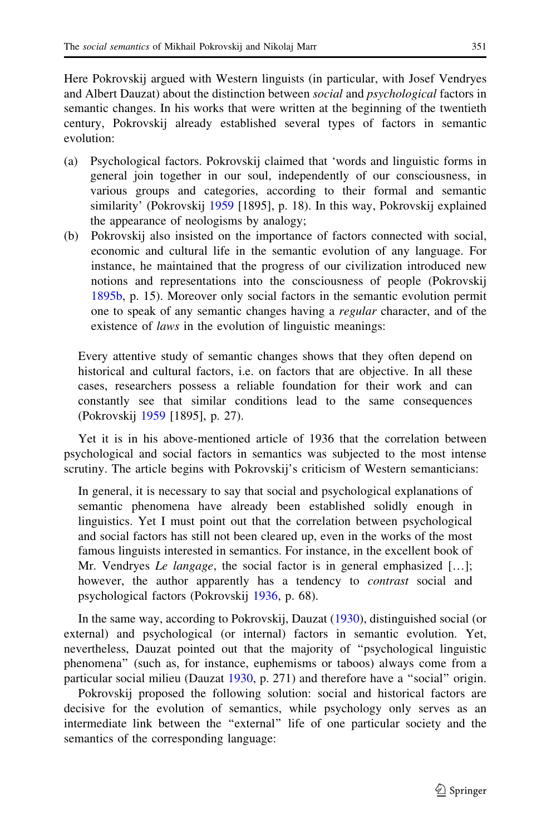Here Pokrovskij argued with Western linguists (in particular, with Josef Vendryes and Albert Dauzat) about the distinction between social and psychological factors in semantic changes. In his works that were written at the beginning of the twentieth century, Pokrovskij already established several types of factors in semantic evolution:

- (a) Psychological factors. Pokrovskij claimed that 'words and linguistic forms in general join together in our soul, independently of our consciousness, in various groups and categories, according to their formal and semantic similarity' (Pokrovskij [1959](#page-12-0) [1895], p. 18). In this way, Pokrovskij explained the appearance of neologisms by analogy;
- (b) Pokrovskij also insisted on the importance of factors connected with social, economic and cultural life in the semantic evolution of any language. For instance, he maintained that the progress of our civilization introduced new notions and representations into the consciousness of people (Pokrovskij [1895b,](#page-12-0) p. 15). Moreover only social factors in the semantic evolution permit one to speak of any semantic changes having a regular character, and of the existence of *laws* in the evolution of linguistic meanings:

Every attentive study of semantic changes shows that they often depend on historical and cultural factors, i.e. on factors that are objective. In all these cases, researchers possess a reliable foundation for their work and can constantly see that similar conditions lead to the same consequences (Pokrovskij [1959](#page-12-0) [1895], p. 27).

Yet it is in his above-mentioned article of 1936 that the correlation between psychological and social factors in semantics was subjected to the most intense scrutiny. The article begins with Pokrovskij's criticism of Western semanticians:

In general, it is necessary to say that social and psychological explanations of semantic phenomena have already been established solidly enough in linguistics. Yet I must point out that the correlation between psychological and social factors has still not been cleared up, even in the works of the most famous linguists interested in semantics. For instance, in the excellent book of Mr. Vendryes *Le langage*, the social factor is in general emphasized [...]; however, the author apparently has a tendency to *contrast* social and psychological factors (Pokrovskij [1936,](#page-12-0) p. 68).

In the same way, according to Pokrovskij, Dauzat ([1930\)](#page-10-0), distinguished social (or external) and psychological (or internal) factors in semantic evolution. Yet, nevertheless, Dauzat pointed out that the majority of ''psychological linguistic phenomena'' (such as, for instance, euphemisms or taboos) always come from a particular social milieu (Dauzat [1930,](#page-10-0) p. 271) and therefore have a ''social'' origin.

Pokrovskij proposed the following solution: social and historical factors are decisive for the evolution of semantics, while psychology only serves as an intermediate link between the ''external'' life of one particular society and the semantics of the corresponding language: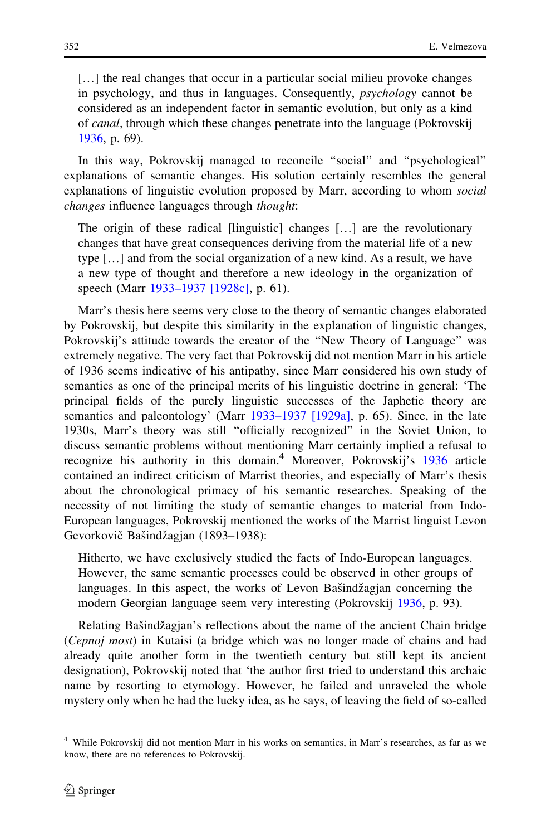[...] the real changes that occur in a particular social milieu provoke changes in psychology, and thus in languages. Consequently, psychology cannot be considered as an independent factor in semantic evolution, but only as a kind of canal, through which these changes penetrate into the language (Pokrovskij [1936](#page-12-0), p. 69).

In this way, Pokrovskij managed to reconcile ''social'' and ''psychological'' explanations of semantic changes. His solution certainly resembles the general explanations of linguistic evolution proposed by Marr, according to whom *social* changes influence languages through thought:

The origin of these radical [linguistic] changes […] are the revolutionary changes that have great consequences deriving from the material life of a new type […] and from the social organization of a new kind. As a result, we have a new type of thought and therefore a new ideology in the organization of speech (Marr [1933–1937 \[1928c\],](#page-11-0) p. 61).

Marr's thesis here seems very close to the theory of semantic changes elaborated by Pokrovskij, but despite this similarity in the explanation of linguistic changes, Pokrovskij's attitude towards the creator of the ''New Theory of Language'' was extremely negative. The very fact that Pokrovskij did not mention Marr in his article of 1936 seems indicative of his antipathy, since Marr considered his own study of semantics as one of the principal merits of his linguistic doctrine in general: 'The principal fields of the purely linguistic successes of the Japhetic theory are semantics and paleontology' (Marr [1933–1937 \[1929a\],](#page-11-0) p. 65). Since, in the late 1930s, Marr's theory was still ''officially recognized'' in the Soviet Union, to discuss semantic problems without mentioning Marr certainly implied a refusal to recognize his authority in this domain.<sup>4</sup> Moreover, Pokrovskij's [1936](#page-12-0) article contained an indirect criticism of Marrist theories, and especially of Marr's thesis about the chronological primacy of his semantic researches. Speaking of the necessity of not limiting the study of semantic changes to material from Indo-European languages, Pokrovskij mentioned the works of the Marrist linguist Levon Gevorkovič Bašindžagjan (1893–1938):

Hitherto, we have exclusively studied the facts of Indo-European languages. However, the same semantic processes could be observed in other groups of languages. In this aspect, the works of Levon Bast indeed a concerning the modern Georgian language seem very interesting (Pokrovskij [1936,](#page-12-0) p. 93).

Relating Bašindžagjan's reflections about the name of the ancient Chain bridge (Cepnoj most) in Kutaisi (a bridge which was no longer made of chains and had already quite another form in the twentieth century but still kept its ancient designation), Pokrovskij noted that 'the author first tried to understand this archaic name by resorting to etymology. However, he failed and unraveled the whole mystery only when he had the lucky idea, as he says, of leaving the field of so-called

<sup>4</sup> While Pokrovskij did not mention Marr in his works on semantics, in Marr's researches, as far as we know, there are no references to Pokrovskij.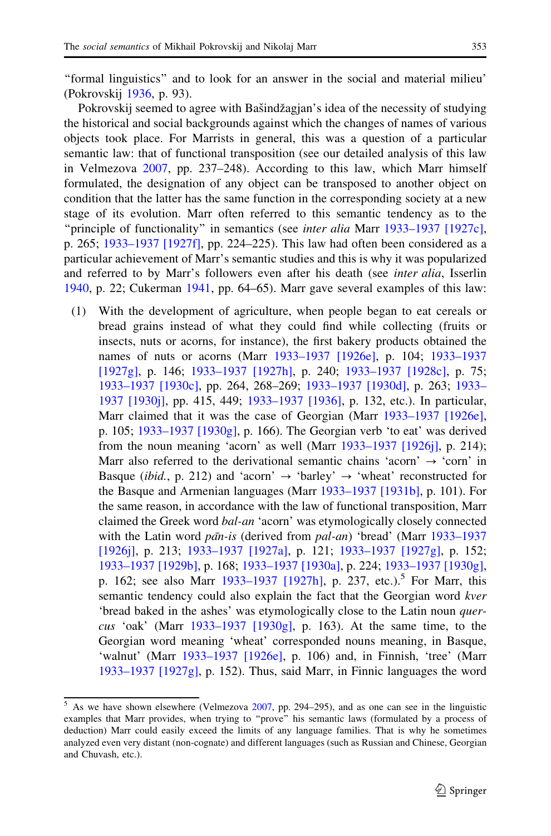''formal linguistics'' and to look for an answer in the social and material milieu' (Pokrovskij [1936,](#page-12-0) p. 93).

Pokrovskij seemed to agree with Bašindžagjan's idea of the necessity of studying the historical and social backgrounds against which the changes of names of various objects took place. For Marrists in general, this was a question of a particular semantic law: that of functional transposition (see our detailed analysis of this law in Velmezova [2007,](#page-13-0) pp. 237–248). According to this law, which Marr himself formulated, the designation of any object can be transposed to another object on condition that the latter has the same function in the corresponding society at a new stage of its evolution. Marr often referred to this semantic tendency as to the "principle of functionality" in semantics (see *inter alia* Marr [1933–1937 \[1927c\],](#page-11-0) p. 265; [1933–1937 \[1927f\]](#page-11-0), pp. 224–225). This law had often been considered as a particular achievement of Marr's semantic studies and this is why it was popularized and referred to by Marr's followers even after his death (see inter alia, Isserlin [1940,](#page-10-0) p. 22; Cukerman [1941](#page-10-0), pp. 64–65). Marr gave several examples of this law:

(1) With the development of agriculture, when people began to eat cereals or bread grains instead of what they could find while collecting (fruits or insects, nuts or acorns, for instance), the first bakery products obtained the names of nuts or acorns (Marr [1933–1937 \[1926e\],](#page-11-0) p. 104; [1933–1937](#page-11-0) [\[1927g\]](#page-11-0), p. 146; [1933–1937 \[1927h\]](#page-11-0), p. 240; [1933–1937 \[1928c\]](#page-11-0), p. 75; [1933–1937 \[1930c\]](#page-12-0), pp. 264, 268–269; [1933–1937 \[1930d\]](#page-12-0), p. 263; [1933–](#page-12-0) [1937 \[1930j\],](#page-12-0) pp. 415, 449; [1933–1937 \[1936\],](#page-12-0) p. 132, etc.). In particular, Marr claimed that it was the case of Georgian (Marr [1933–1937 \[1926e\],](#page-11-0) p. 105; [1933–1937 \[1930g\]](#page-12-0), p. 166). The Georgian verb 'to eat' was derived from the noun meaning 'acorn' as well (Marr [1933–1937 \[1926j\],](#page-11-0) p. 214); Marr also referred to the derivational semantic chains 'acorn'  $\rightarrow$  'corn' in Basque (*ibid.*, p. 212) and 'acorn'  $\rightarrow$  'barley'  $\rightarrow$  'wheat' reconstructed for the Basque and Armenian languages (Marr [1933–1937 \[1931b\],](#page-12-0) p. 101). For the same reason, in accordance with the law of functional transposition, Marr claimed the Greek word bal-an 'acorn' was etymologically closely connected with the Latin word  $p\bar{a}n\text{-}is$  (derived from  $pal\text{-}an$ ) 'bread' (Marr [1933–1937](#page-11-0) [\[1926j\]](#page-11-0), p. 213; [1933–1937 \[1927a\],](#page-11-0) p. 121; [1933–1937 \[1927g\],](#page-11-0) p. 152; [1933–1937 \[1929b\],](#page-11-0) p. 168; [1933–1937 \[1930a\],](#page-12-0) p. 224; [1933–1937 \[1930g\],](#page-12-0) p. 162; see also Marr  $1933-1937$  [1927h], p. 237, etc.).<sup>5</sup> For Marr, this semantic tendency could also explain the fact that the Georgian word kver 'bread baked in the ashes' was etymologically close to the Latin noun quer-cus 'oak' (Marr [1933–1937 \[1930g\]](#page-12-0), p. 163). At the same time, to the Georgian word meaning 'wheat' corresponded nouns meaning, in Basque, 'walnut' (Marr [1933–1937 \[1926e\],](#page-11-0) p. 106) and, in Finnish, 'tree' (Marr [1933–1937 \[1927g\]](#page-11-0), p. 152). Thus, said Marr, in Finnic languages the word

 $5$  As we have shown elsewhere (Velmezova  $2007$ , pp. 294–295), and as one can see in the linguistic examples that Marr provides, when trying to "prove" his semantic laws (formulated by a process of deduction) Marr could easily exceed the limits of any language families. That is why he sometimes analyzed even very distant (non-cognate) and different languages (such as Russian and Chinese, Georgian and Chuvash, etc.).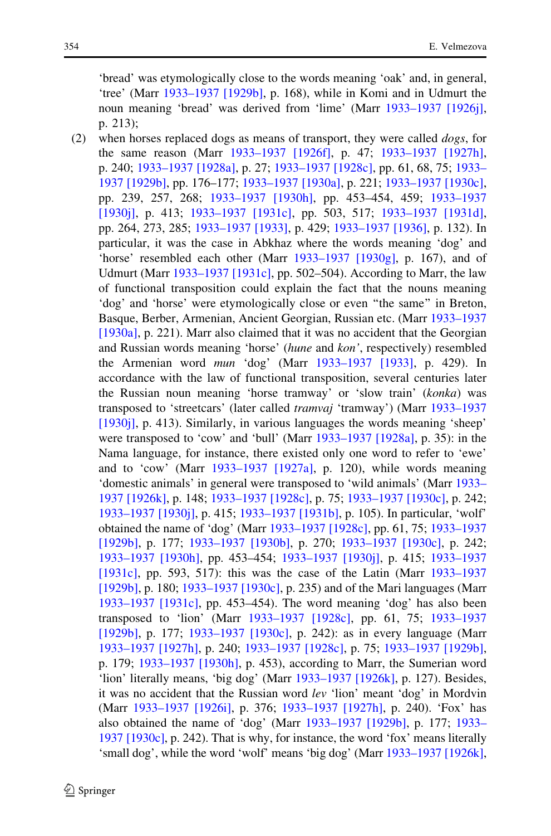'bread' was etymologically close to the words meaning 'oak' and, in general, 'tree' (Marr [1933–1937 \[1929b\],](#page-11-0) p. 168), while in Komi and in Udmurt the noun meaning 'bread' was derived from 'lime' (Marr [1933–1937 \[1926j\],](#page-11-0) p. 213);

(2) when horses replaced dogs as means of transport, they were called  $dogs$ , for the same reason (Marr [1933–1937 \[1926f\],](#page-11-0) p. 47; [1933–1937 \[1927h\],](#page-11-0) p. 240; [1933–1937 \[1928a\],](#page-11-0) p. 27; [1933–1937 \[1928c\]](#page-11-0), pp. 61, 68, 75; [1933–](#page-11-0) [1937 \[1929b\],](#page-11-0) pp. 176–177; [1933–1937 \[1930a\],](#page-12-0) p. 221; [1933–1937 \[1930c\],](#page-12-0) pp. 239, 257, 268; [1933–1937 \[1930h\],](#page-12-0) pp. 453–454, 459; [1933–1937](#page-12-0) [\[1930j\]](#page-12-0), p. 413; [1933–1937 \[1931c\],](#page-12-0) pp. 503, 517; [1933–1937 \[1931d\],](#page-12-0) pp. 264, 273, 285; [1933–1937 \[1933\],](#page-12-0) p. 429; [1933–1937 \[1936\],](#page-12-0) p. 132). In particular, it was the case in Abkhaz where the words meaning 'dog' and 'horse' resembled each other (Marr [1933–1937 \[1930g\],](#page-12-0) p. 167), and of Udmurt (Marr [1933–1937 \[1931c\]](#page-12-0), pp. 502–504). According to Marr, the law of functional transposition could explain the fact that the nouns meaning 'dog' and 'horse' were etymologically close or even ''the same'' in Breton, Basque, Berber, Armenian, Ancient Georgian, Russian etc. (Marr [1933–1937](#page-12-0) [\[1930a\],](#page-12-0) p. 221). Marr also claimed that it was no accident that the Georgian and Russian words meaning 'horse' (hune and kon', respectively) resembled the Armenian word mun 'dog' (Marr [1933–1937 \[1933\]](#page-12-0), p. 429). In accordance with the law of functional transposition, several centuries later the Russian noun meaning 'horse tramway' or 'slow train' (konka) was transposed to 'streetcars' (later called tramvaj 'tramway') (Marr [1933–1937](#page-12-0) [\[1930j\]](#page-12-0), p. 413). Similarly, in various languages the words meaning 'sheep' were transposed to 'cow' and 'bull' (Marr [1933–1937 \[1928a\],](#page-11-0) p. 35): in the Nama language, for instance, there existed only one word to refer to 'ewe' and to 'cow' (Marr [1933–1937 \[1927a\],](#page-11-0) p. 120), while words meaning 'domestic animals' in general were transposed to 'wild animals' (Marr [1933–](#page-11-0) [1937 \[1926k\],](#page-11-0) p. 148; [1933–1937 \[1928c\],](#page-11-0) p. 75; [1933–1937 \[1930c\],](#page-12-0) p. 242; [1933–1937 \[1930j\],](#page-12-0) p. 415; [1933–1937 \[1931b\]](#page-12-0), p. 105). In particular, 'wolf' obtained the name of 'dog' (Marr [1933–1937 \[1928c\]](#page-11-0), pp. 61, 75; [1933–1937](#page-11-0) [\[1929b\]](#page-11-0), p. 177; [1933–1937 \[1930b\]](#page-12-0), p. 270; [1933–1937 \[1930c\]](#page-12-0), p. 242; [1933–1937 \[1930h\]](#page-12-0), pp. 453–454; [1933–1937 \[1930j\]](#page-12-0), p. 415; [1933–1937](#page-12-0) [\[1931c\],](#page-12-0) pp. 593, 517): this was the case of the Latin (Marr [1933–1937](#page-11-0) [\[1929b\]](#page-11-0), p. 180; [1933–1937 \[1930c\]](#page-12-0), p. 235) and of the Mari languages (Marr [1933–1937 \[1931c\]](#page-12-0), pp. 453–454). The word meaning 'dog' has also been transposed to 'lion' (Marr [1933–1937 \[1928c\],](#page-11-0) pp. 61, 75; [1933–1937](#page-11-0) [\[1929b\]](#page-11-0), p. 177; [1933–1937 \[1930c\],](#page-12-0) p. 242): as in every language (Marr [1933–1937 \[1927h\]](#page-11-0), p. 240; [1933–1937 \[1928c\]](#page-11-0), p. 75; [1933–1937 \[1929b\],](#page-11-0) p. 179; [1933–1937 \[1930h\]](#page-12-0), p. 453), according to Marr, the Sumerian word 'lion' literally means, 'big dog' (Marr [1933–1937 \[1926k\]](#page-11-0), p. 127). Besides, it was no accident that the Russian word lev 'lion' meant 'dog' in Mordvin (Marr [1933–1937 \[1926i\],](#page-11-0) p. 376; [1933–1937 \[1927h\],](#page-11-0) p. 240). 'Fox' has also obtained the name of 'dog' (Marr [1933–1937 \[1929b\]](#page-11-0), p. 177; [1933–](#page-12-0) [1937 \[1930c\]](#page-12-0), p. 242). That is why, for instance, the word 'fox' means literally 'small dog', while the word 'wolf' means 'big dog' (Marr [1933–1937 \[1926k\],](#page-11-0)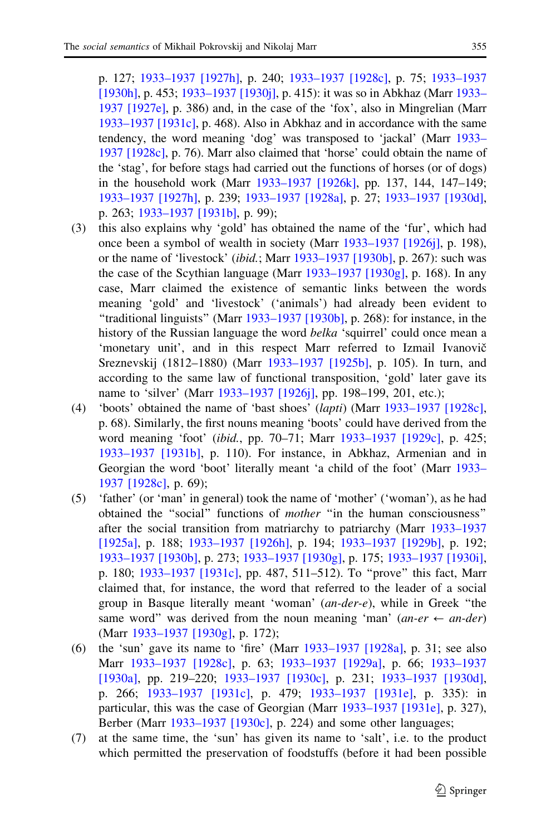p. 127; [1933–1937 \[1927h\]](#page-11-0), p. 240; [1933–1937 \[1928c\]](#page-11-0), p. 75; [1933–1937](#page-12-0) [\[1930h\],](#page-12-0) p. 453; [1933–1937 \[1930j\]](#page-12-0), p. 415): it was so in Abkhaz (Marr [1933–](#page-11-0) [1937 \[1927e\]](#page-11-0), p. 386) and, in the case of the 'fox', also in Mingrelian (Marr [1933–1937 \[1931c\]](#page-12-0), p. 468). Also in Abkhaz and in accordance with the same tendency, the word meaning 'dog' was transposed to 'jackal' (Marr [1933–](#page-11-0) [1937 \[1928c\],](#page-11-0) p. 76). Marr also claimed that 'horse' could obtain the name of the 'stag', for before stags had carried out the functions of horses (or of dogs) in the household work (Marr [1933–1937 \[1926k\]](#page-11-0), pp. 137, 144, 147–149; [1933–1937 \[1927h\],](#page-11-0) p. 239; [1933–1937 \[1928a\],](#page-11-0) p. 27; [1933–1937 \[1930d\],](#page-12-0) p. 263; [1933–1937 \[1931b\],](#page-12-0) p. 99);

- (3) this also explains why 'gold' has obtained the name of the 'fur', which had once been a symbol of wealth in society (Marr [1933–1937 \[1926j\]](#page-11-0), p. 198), or the name of 'livestock' (ibid.; Marr [1933–1937 \[1930b\]](#page-12-0), p. 267): such was the case of the Scythian language (Marr [1933–1937 \[1930g\]](#page-12-0), p. 168). In any case, Marr claimed the existence of semantic links between the words meaning 'gold' and 'livestock' ('animals') had already been evident to "traditional linguists" (Marr  $1933-1937$  [1930b], p. 268): for instance, in the history of the Russian language the word belka 'squirrel' could once mean a 'monetary unit', and in this respect Marr referred to Izmail Ivanovič Sreznevskij (1812–1880) (Marr [1933–1937 \[1925b\]](#page-11-0), p. 105). In turn, and according to the same law of functional transposition, 'gold' later gave its name to 'silver' (Marr [1933–1937 \[1926j\]](#page-11-0), pp. 198–199, 201, etc.);
- (4) 'boots' obtained the name of 'bast shoes' (lapti) (Marr [1933–1937 \[1928c\],](#page-11-0) p. 68). Similarly, the first nouns meaning 'boots' could have derived from the word meaning 'foot' (ibid., pp. 70–71; Marr [1933–1937 \[1929c\],](#page-11-0) p. 425; [1933–1937 \[1931b\]](#page-12-0), p. 110). For instance, in Abkhaz, Armenian and in Georgian the word 'boot' literally meant 'a child of the foot' (Marr [1933–](#page-11-0) [1937 \[1928c\],](#page-11-0) p. 69);
- (5) 'father' (or 'man' in general) took the name of 'mother' ('woman'), as he had obtained the ''social'' functions of mother ''in the human consciousness'' after the social transition from matriarchy to patriarchy (Marr [1933–1937](#page-11-0) [\[1925a\],](#page-11-0) p. 188; [1933–1937 \[1926h\],](#page-11-0) p. 194; [1933–1937 \[1929b\]](#page-11-0), p. 192; [1933–1937 \[1930b\],](#page-12-0) p. 273; [1933–1937 \[1930g\],](#page-12-0) p. 175; [1933–1937 \[1930i\],](#page-12-0) p. 180; [1933–1937 \[1931c\]](#page-12-0), pp. 487, 511–512). To ''prove'' this fact, Marr claimed that, for instance, the word that referred to the leader of a social group in Basque literally meant 'woman' (an-der-e), while in Greek ''the same word" was derived from the noun meaning 'man'  $(an-er \leftarrow an-der)$ (Marr [1933–1937 \[1930g\]](#page-12-0), p. 172);
- (6) the 'sun' gave its name to 'fire' (Marr  $1933-1937$  [1928a], p. 31; see also Marr [1933–1937 \[1928c\]](#page-11-0), p. 63; [1933–1937 \[1929a\],](#page-11-0) p. 66; [1933–1937](#page-12-0) [\[1930a\],](#page-12-0) pp. 219–220; [1933–1937 \[1930c\],](#page-12-0) p. 231; [1933–1937 \[1930d\],](#page-12-0) p. 266; [1933–1937 \[1931c\],](#page-12-0) p. 479; [1933–1937 \[1931e\],](#page-12-0) p. 335): in particular, this was the case of Georgian (Marr [1933–1937 \[1931e\]](#page-12-0), p. 327), Berber (Marr [1933–1937 \[1930c\]](#page-12-0), p. 224) and some other languages;
- (7) at the same time, the 'sun' has given its name to 'salt', i.e. to the product which permitted the preservation of foodstuffs (before it had been possible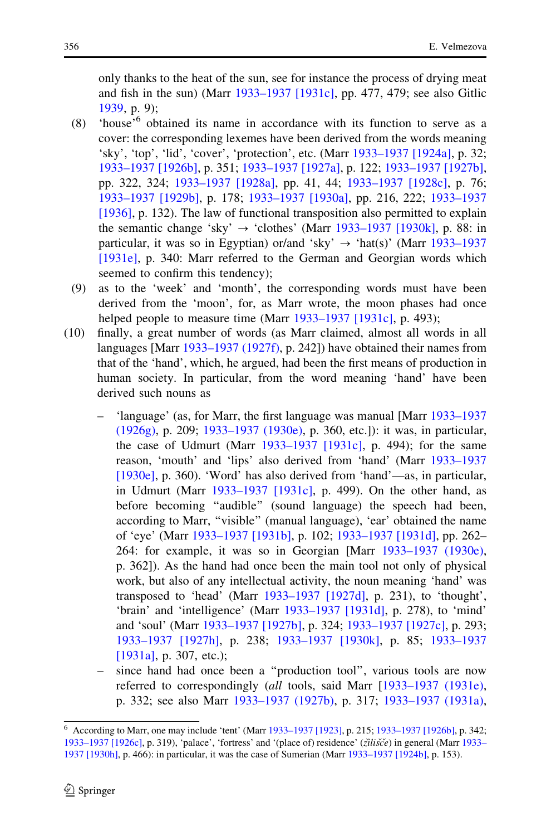only thanks to the heat of the sun, see for instance the process of drying meat and fish in the sun) (Marr [1933–1937 \[1931c\],](#page-12-0) pp. 477, 479; see also Gitlic [1939,](#page-10-0) p. 9);

- (8) 'house'6 obtained its name in accordance with its function to serve as a cover: the corresponding lexemes have been derived from the words meaning 'sky', 'top', 'lid', 'cover', 'protection', etc. (Marr [1933–1937 \[1924a\]](#page-10-0), p. 32; [1933–1937 \[1926b\],](#page-11-0) p. 351; [1933–1937 \[1927a\],](#page-11-0) p. 122; [1933–1937 \[1927b\],](#page-11-0) pp. 322, 324; [1933–1937 \[1928a\]](#page-11-0), pp. 41, 44; [1933–1937 \[1928c\]](#page-11-0), p. 76; [1933–1937 \[1929b\],](#page-11-0) p. 178; [1933–1937 \[1930a\],](#page-12-0) pp. 216, 222; [1933–1937](#page-12-0) [\[1936\]](#page-12-0), p. 132). The law of functional transposition also permitted to explain the semantic change 'sky'  $\rightarrow$  'clothes' (Marr [1933–1937 \[1930k\]](#page-12-0), p. 88: in particular, it was so in Egyptian) or/and 'sky'  $\rightarrow$  'hat(s)' (Marr [1933–1937](#page-12-0) [\[1931e\],](#page-12-0) p. 340: Marr referred to the German and Georgian words which seemed to confirm this tendency);
- (9) as to the 'week' and 'month', the corresponding words must have been derived from the 'moon', for, as Marr wrote, the moon phases had once helped people to measure time (Marr [1933–1937 \[1931c\],](#page-12-0) p. 493);
- (10) finally, a great number of words (as Marr claimed, almost all words in all languages [Marr [1933–1937 \(1927f\)](#page-11-0), p. 242]) have obtained their names from that of the 'hand', which, he argued, had been the first means of production in human society. In particular, from the word meaning 'hand' have been derived such nouns as
	- 'language' (as, for Marr, the first language was manual [Marr [1933–1937](#page-11-0) [\(1926g\)](#page-11-0), p. 209; [1933–1937 \(1930e\)](#page-12-0), p. 360, etc.]): it was, in particular, the case of Udmurt (Marr [1933–1937 \[1931c\]](#page-12-0), p. 494); for the same reason, 'mouth' and 'lips' also derived from 'hand' (Marr [1933–1937](#page-12-0) [\[1930e\],](#page-12-0) p. 360). 'Word' has also derived from 'hand'—as, in particular, in Udmurt (Marr [1933–1937 \[1931c\],](#page-12-0) p. 499). On the other hand, as before becoming ''audible'' (sound language) the speech had been, according to Marr, ''visible'' (manual language), 'ear' obtained the name of 'eye' (Marr [1933–1937 \[1931b\]](#page-12-0), p. 102; [1933–1937 \[1931d\],](#page-12-0) pp. 262– 264: for example, it was so in Georgian [Marr [1933–1937 \(1930e\),](#page-12-0) p. 362]). As the hand had once been the main tool not only of physical work, but also of any intellectual activity, the noun meaning 'hand' was transposed to 'head' (Marr [1933–1937 \[1927d\],](#page-11-0) p. 231), to 'thought', 'brain' and 'intelligence' (Marr [1933–1937 \[1931d\]](#page-12-0), p. 278), to 'mind' and 'soul' (Marr [1933–1937 \[1927b\],](#page-11-0) p. 324; [1933–1937 \[1927c\]](#page-11-0), p. 293; [1933–1937 \[1927h\]](#page-11-0), p. 238; [1933–1937 \[1930k\],](#page-12-0) p. 85; [1933–1937](#page-12-0) [\[1931a\],](#page-12-0) p. 307, etc.);
	- since hand had once been a ''production tool'', various tools are now referred to correspondingly (all tools, said Marr [\[1933–1937 \(1931e\),](#page-12-0) p. 332; see also Marr [1933–1937 \(1927b\),](#page-11-0) p. 317; [1933–1937 \(1931a\),](#page-12-0)

<sup>6</sup> According to Marr, one may include 'tent' (Marr [1933–1937 \[1923\],](#page-10-0) p. 215; [1933–1937 \[1926b\],](#page-11-0) p. 342; [1933–1937 \[1926c\]](#page-11-0), p. 319), 'palace', 'fortress' and '(place of) residence' (zilisče) in general (Marr [1933–](#page-12-0) [1937 \[1930h\]](#page-12-0), p. 466): in particular, it was the case of Sumerian (Marr [1933–1937 \[1924b\]](#page-11-0), p. 153).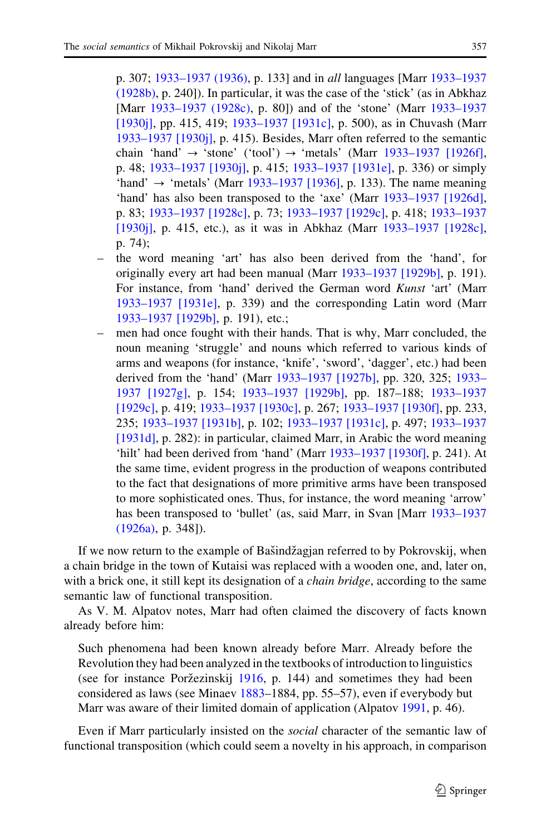p. 307; [1933–1937 \(1936\)](#page-12-0), p. 133] and in all languages [Marr [1933–1937](#page-11-0) [\(1928b\)](#page-11-0), p. 240]). In particular, it was the case of the 'stick' (as in Abkhaz [Marr [1933–1937 \(1928c\),](#page-11-0) p. 80]) and of the 'stone' (Marr [1933–1937](#page-12-0) [\[1930j\]](#page-12-0), pp. 415, 419; [1933–1937 \[1931c\]](#page-12-0), p. 500), as in Chuvash (Marr [1933–1937 \[1930j\],](#page-12-0) p. 415). Besides, Marr often referred to the semantic chain 'hand'  $\rightarrow$  'stone' ('tool')  $\rightarrow$  'metals' (Marr [1933–1937 \[1926f\],](#page-11-0) p. 48; [1933–1937 \[1930j\]](#page-12-0), p. 415; [1933–1937 \[1931e\]](#page-12-0), p. 336) or simply 'hand'  $\rightarrow$  'metals' (Marr [1933–1937 \[1936\],](#page-12-0) p. 133). The name meaning 'hand' has also been transposed to the 'axe' (Marr [1933–1937 \[1926d\],](#page-11-0) p. 83; [1933–1937 \[1928c\]](#page-11-0), p. 73; [1933–1937 \[1929c\]](#page-11-0), p. 418; [1933–1937](#page-12-0) [\[1930j\]](#page-12-0), p. 415, etc.), as it was in Abkhaz (Marr [1933–1937 \[1928c\],](#page-11-0) p. 74);

- the word meaning 'art' has also been derived from the 'hand', for originally every art had been manual (Marr [1933–1937 \[1929b\]](#page-11-0), p. 191). For instance, from 'hand' derived the German word Kunst 'art' (Marr [1933–1937 \[1931e\]](#page-12-0), p. 339) and the corresponding Latin word (Marr [1933–1937 \[1929b\]](#page-11-0), p. 191), etc.;
- men had once fought with their hands. That is why, Marr concluded, the noun meaning 'struggle' and nouns which referred to various kinds of arms and weapons (for instance, 'knife', 'sword', 'dagger', etc.) had been derived from the 'hand' (Marr [1933–1937 \[1927b\]](#page-11-0), pp. 320, 325; [1933–](#page-11-0) [1937 \[1927g\]](#page-11-0), p. 154; [1933–1937 \[1929b\],](#page-11-0) pp. 187–188; [1933–1937](#page-11-0) [\[1929c\],](#page-11-0) p. 419; [1933–1937 \[1930c\],](#page-12-0) p. 267; [1933–1937 \[1930f\],](#page-12-0) pp. 233, 235; [1933–1937 \[1931b\]](#page-12-0), p. 102; [1933–1937 \[1931c\]](#page-12-0), p. 497; [1933–1937](#page-12-0) [\[1931d\]](#page-12-0), p. 282): in particular, claimed Marr, in Arabic the word meaning 'hilt' had been derived from 'hand' (Marr [1933–1937 \[1930f\],](#page-12-0) p. 241). At the same time, evident progress in the production of weapons contributed to the fact that designations of more primitive arms have been transposed to more sophisticated ones. Thus, for instance, the word meaning 'arrow' has been transposed to 'bullet' (as, said Marr, in Svan [Marr [1933–1937](#page-11-0) [\(1926a\),](#page-11-0) p. 348]).

If we now return to the example of Bašindžagjan referred to by Pokrovskij, when a chain bridge in the town of Kutaisi was replaced with a wooden one, and, later on, with a brick one, it still kept its designation of a *chain bridge*, according to the same semantic law of functional transposition.

As V. M. Alpatov notes, Marr had often claimed the discovery of facts known already before him:

Such phenomena had been known already before Marr. Already before the Revolution they had been analyzed in the textbooks of introduction to linguistics (see for instance Poržezinskij  $1916$ , p. 144) and sometimes they had been considered as laws (see Minaev [1883](#page-12-0)–1884, pp. 55–57), even if everybody but Marr was aware of their limited domain of application (Alpatov [1991](#page-10-0), p. 46).

Even if Marr particularly insisted on the social character of the semantic law of functional transposition (which could seem a novelty in his approach, in comparison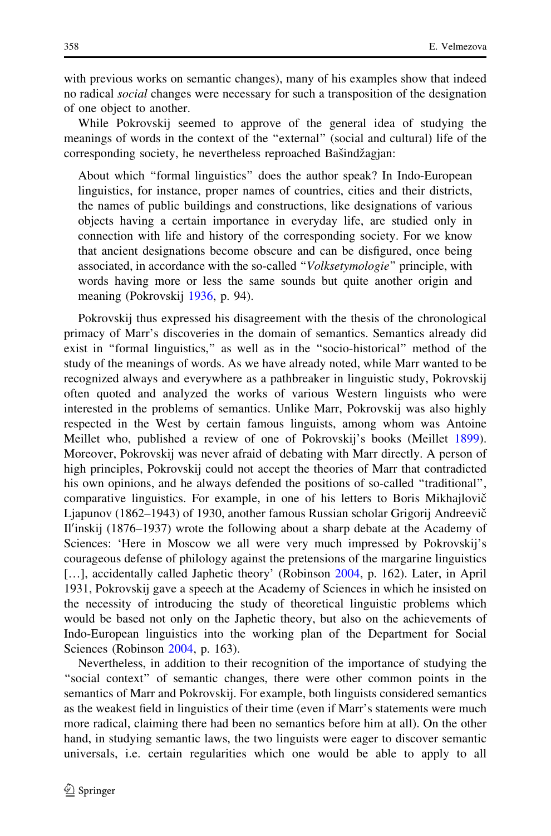with previous works on semantic changes), many of his examples show that indeed no radical social changes were necessary for such a transposition of the designation of one object to another.

While Pokrovskij seemed to approve of the general idea of studying the meanings of words in the context of the ''external'' (social and cultural) life of the corresponding society, he nevertheless reproached Bašindžagjan:

About which ''formal linguistics'' does the author speak? In Indo-European linguistics, for instance, proper names of countries, cities and their districts, the names of public buildings and constructions, like designations of various objects having a certain importance in everyday life, are studied only in connection with life and history of the corresponding society. For we know that ancient designations become obscure and can be disfigured, once being associated, in accordance with the so-called ''Volksetymologie'' principle, with words having more or less the same sounds but quite another origin and meaning (Pokrovskij [1936](#page-12-0), p. 94).

Pokrovskij thus expressed his disagreement with the thesis of the chronological primacy of Marr's discoveries in the domain of semantics. Semantics already did exist in "formal linguistics," as well as in the "socio-historical" method of the study of the meanings of words. As we have already noted, while Marr wanted to be recognized always and everywhere as a pathbreaker in linguistic study, Pokrovskij often quoted and analyzed the works of various Western linguists who were interested in the problems of semantics. Unlike Marr, Pokrovskij was also highly respected in the West by certain famous linguists, among whom was Antoine Meillet who, published a review of one of Pokrovskij's books (Meillet [1899\)](#page-12-0). Moreover, Pokrovskij was never afraid of debating with Marr directly. A person of high principles, Pokrovskij could not accept the theories of Marr that contradicted his own opinions, and he always defended the positions of so-called ''traditional'', comparative linguistics. For example, in one of his letters to Boris Mikhajlovič Ljapunov (1862–1943) of 1930, another famous Russian scholar Grigorij Andreevič Il'inskij (1876–1937) wrote the following about a sharp debate at the Academy of Sciences: 'Here in Moscow we all were very much impressed by Pokrovskij's courageous defense of philology against the pretensions of the margarine linguistics [...], accidentally called Japhetic theory' (Robinson [2004](#page-13-0), p. 162). Later, in April 1931, Pokrovskij gave a speech at the Academy of Sciences in which he insisted on the necessity of introducing the study of theoretical linguistic problems which would be based not only on the Japhetic theory, but also on the achievements of Indo-European linguistics into the working plan of the Department for Social Sciences (Robinson [2004](#page-13-0), p. 163).

Nevertheless, in addition to their recognition of the importance of studying the ''social context'' of semantic changes, there were other common points in the semantics of Marr and Pokrovskij. For example, both linguists considered semantics as the weakest field in linguistics of their time (even if Marr's statements were much more radical, claiming there had been no semantics before him at all). On the other hand, in studying semantic laws, the two linguists were eager to discover semantic universals, i.e. certain regularities which one would be able to apply to all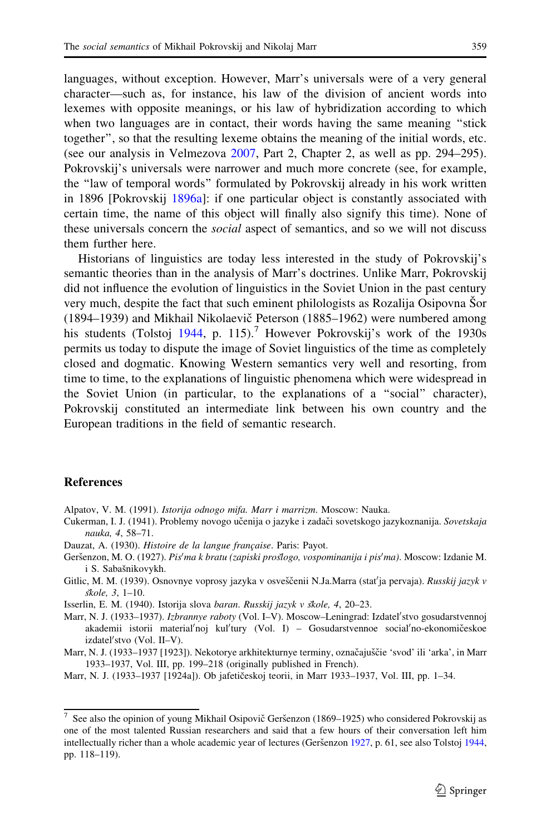<span id="page-10-0"></span>languages, without exception. However, Marr's universals were of a very general character—such as, for instance, his law of the division of ancient words into lexemes with opposite meanings, or his law of hybridization according to which when two languages are in contact, their words having the same meaning "stick" together'', so that the resulting lexeme obtains the meaning of the initial words, etc. (see our analysis in Velmezova [2007](#page-13-0), Part 2, Chapter 2, as well as pp. 294–295). Pokrovskij's universals were narrower and much more concrete (see, for example, the ''law of temporal words'' formulated by Pokrovskij already in his work written in 1896 [Pokrovskij [1896a](#page-12-0)]: if one particular object is constantly associated with certain time, the name of this object will finally also signify this time). None of these universals concern the *social* aspect of semantics, and so we will not discuss them further here.

Historians of linguistics are today less interested in the study of Pokrovskij's semantic theories than in the analysis of Marr's doctrines. Unlike Marr, Pokrovskij did not influence the evolution of linguistics in the Soviet Union in the past century very much, despite the fact that such eminent philologists as Rozalija Osipovna Šor (1894–1939) and Mikhail Nikolaevič Peterson (1885–1962) were numbered among his students (Tolstoj [1944](#page-13-0), p. 115).<sup>7</sup> However Pokrovskij's work of the 1930s permits us today to dispute the image of Soviet linguistics of the time as completely closed and dogmatic. Knowing Western semantics very well and resorting, from time to time, to the explanations of linguistic phenomena which were widespread in the Soviet Union (in particular, to the explanations of a ''social'' character), Pokrovskij constituted an intermediate link between his own country and the European traditions in the field of semantic research.

## References

Alpatov, V. M. (1991). Istorija odnogo mifa. Marr i marrizm. Moscow: Nauka.

- Cukerman, I. J. (1941). Problemy novogo učenija o jazyke i zadači sovetskogo jazykoznanija. Sovetskaja nauka, 4, 58–71.
- Dauzat, A. (1930). Histoire de la langue française. Paris: Payot.
- Geršenzon, M. O. (1927). Pis'ma k bratu (zapiski proslogo, vospominanija i pis'ma). Moscow: Izdanie M. i S. Sabašnikovykh.
- Gitlic, M. M. (1939). Osnovnye voprosy jazyka v osveščenii N.Ja.Marra (stať ja pervaja). Russkij jazyk v  $skole$ , 3, 1–10.

Isserlin, E. M. (1940). Istorija slova baran. Russkij jazyk v skole, 4, 20–23.

Marr, N. J. (1933-1937). Izbrannye raboty (Vol. I-V). Moscow-Leningrad: Izdatel'stvo gosudarstvennoj akademii istorii material'noj kul'tury (Vol. I) - Gosudarstvennoe social'no-ekonomičeskoe izdateľ stvo (Vol. II-V).

Marr, N. J. (1933–1937 [1923]). Nekotorye arkhitekturnye terminy, označajuščie 'svod' ili 'arka', in Marr 1933–1937, Vol. III, pp. 199–218 (originally published in French).

Marr, N. J. (1933–1937 [1924a]). Ob jafetičeskoj teorii, in Marr 1933–1937, Vol. III, pp. 1-34.

 $7$  See also the opinion of young Mikhail Osipovič Geršenzon (1869–1925) who considered Pokrovskij as one of the most talented Russian researchers and said that a few hours of their conversation left him intellectually richer than a whole academic year of lectures (Geršenzon 1927, p. 61, see also Tolstoj [1944](#page-13-0), pp. 118–119).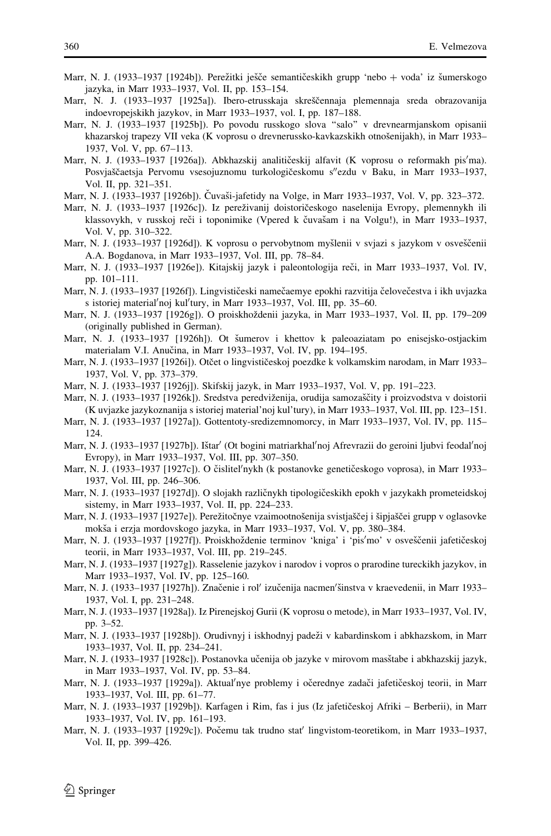- <span id="page-11-0"></span>Marr, N. J. (1933–1937 [1924b]). Perežitki ješče semantičeskikh grupp 'nebo + voda' iz šumerskogo jazyka, in Marr 1933–1937, Vol. II, pp. 153–154.
- Marr, N. J. (1933–1937 [1925a]). Ibero-etrusskaja skreščennaja plemennaja sreda obrazovanija indoevropejskikh jazykov, in Marr 1933–1937, vol. I, pp. 187–188.
- Marr, N. J. (1933–1937 [1925b]). Po povodu russkogo slova ''salo'' v drevnearmjanskom opisanii khazarskoj trapezy VII veka (K voprosu o drevnerussko-kavkazskikh otnošenijakh), in Marr 1933– 1937, Vol. V, pp. 67–113.
- Marr, N. J. (1933-1937 [1926a]). Abkhazskij analitičeskij alfavit (K voprosu o reformakh pis'ma). Posvjaščaetsja Pervomu vsesojuznomu turkologičeskomu s"ezdu v Baku, in Marr 1933–1937, Vol. II, pp. 321–351.
- Marr, N. J. (1933–1937 [1926b]). Čuvaši-jafetidy na Volge, in Marr 1933–1937, Vol. V, pp. 323–372.
- Marr, N. J. (1933–1937 [1926c]). Iz pereživanij doistoričeskogo naselenija Evropy, plemennykh ili klassovykh, v russkoj reči i toponimike (Vpered k čuvašam i na Volgu!), in Marr 1933–1937, Vol. V, pp. 310–322.
- Marr, N. J. (1933–1937 [1926d]). K voprosu o pervobytnom myšlenii v svjazi s jazykom v osveščenii A.A. Bogdanova, in Marr 1933–1937, Vol. III, pp. 78–84.
- Marr, N. J. (1933–1937 [1926e]). Kitajskij jazyk i paleontologija reči, in Marr 1933–1937, Vol. IV, pp. 101–111.
- Marr, N. J. (1933–1937 [1926f]). Lingvističeski namečaemye epokhi razvitija čelovečestva i ikh uvjazka s istoriej material'noj kul'tury, in Marr 1933-1937, Vol. III, pp. 35-60.
- Marr, N. J. (1933–1937 [1926g]). O proiskhoždenii jazyka, in Marr 1933–1937, Vol. II, pp. 179–209 (originally published in German).
- Marr, N. J. (1933–1937 [1926h]). Ot šumerov i khettov k paleoaziatam po enisejsko-ostjackim materialam V.I. Anučina, in Marr 1933–1937, Vol. IV, pp. 194–195.
- Marr, N. J. (1933–1937 [1926i]). Otčet o lingvističeskoj poezdke k volkamskim narodam, in Marr 1933– 1937, Vol. V, pp. 373–379.
- Marr, N. J. (1933–1937 [1926j]). Skifskij jazyk, in Marr 1933–1937, Vol. V, pp. 191–223.
- Marr, N. J. (1933–1937 [1926k]). Sredstva peredviženija, orudija samozaščity i proizvodstva v doistorii (K uvjazke jazykoznanija s istoriej material'noj kul'tury), in Marr 1933–1937, Vol. III, pp. 123–151.
- Marr, N. J. (1933–1937 [1927a]). Gottentoty-sredizemnomorcy, in Marr 1933–1937, Vol. IV, pp. 115– 124.
- Marr, N. J. (1933-1937 [1927b]). Ištar' (Ot bogini matriarkhal'noj Afrevrazii do geroini ljubvi feodal'noj Evropy), in Marr 1933–1937, Vol. III, pp. 307–350.
- Marr, N. J. (1933–1937 [1927c]). O čislitel'nykh (k postanovke genetičeskogo voprosa), in Marr 1933– 1937, Vol. III, pp. 246–306.
- Marr, N. J. (1933–1937 [1927d]). O slojakh različnykh tipologičeskikh epokh v jazykakh prometeidskoj sistemy, in Marr 1933–1937, Vol. II, pp. 224–233.
- Marr, N. J. (1933–1937 [1927e]). Perežitočnye vzaimootnošenija svistjaščej i šipjaščei grupp v oglasovke mokša i erzja mordovskogo jazyka, in Marr 1933–1937, Vol. V, pp. 380–384.
- Marr, N. J. (1933–1937 [1927f]). Proiskhoždenie terminov 'kniga' i 'pis'mo' v osveščenii jafetičeskoj teorii, in Marr 1933–1937, Vol. III, pp. 219–245.
- Marr, N. J. (1933–1937 [1927g]). Rasselenie jazykov i narodov i vopros o prarodine tureckikh jazykov, in Marr 1933–1937, Vol. IV, pp. 125–160.
- Marr, N. J. (1933-1937 [1927h]). Značenie i rol' izučenija nacmen'šinstva v kraevedenii, in Marr 1933-1937, Vol. I, pp. 231–248.
- Marr, N. J. (1933–1937 [1928a]). Iz Pirenejskoj Gurii (K voprosu o metode), in Marr 1933–1937, Vol. IV, pp. 3–52.
- Marr, N. J. (1933–1937 [1928b]). Orudivnyj i iskhodnyj padeží v kabardinskom i abkhazskom, in Marr 1933–1937, Vol. II, pp. 234–241.
- Marr, N. J. (1933–1937 [1928c]). Postanovka učenija ob jazyke v mirovom masštabe i abkhazskij jazyk, in Marr 1933–1937, Vol. IV, pp. 53–84.
- Marr, N. J. (1933-1937 [1929a]). Aktual'nye problemy i očerednye zadači jafetičeskoj teorii, in Marr 1933–1937, Vol. III, pp. 61–77.
- Marr, N. J. (1933–1937 [1929b]). Karfagen i Rim, fas i jus (Iz jafetičeskoj Afriki Berberii), in Marr 1933–1937, Vol. IV, pp. 161–193.
- Marr, N. J. (1933–1937 [1929c]). Počemu tak trudno stat' lingvistom-teoretikom, in Marr 1933–1937, Vol. II, pp. 399–426.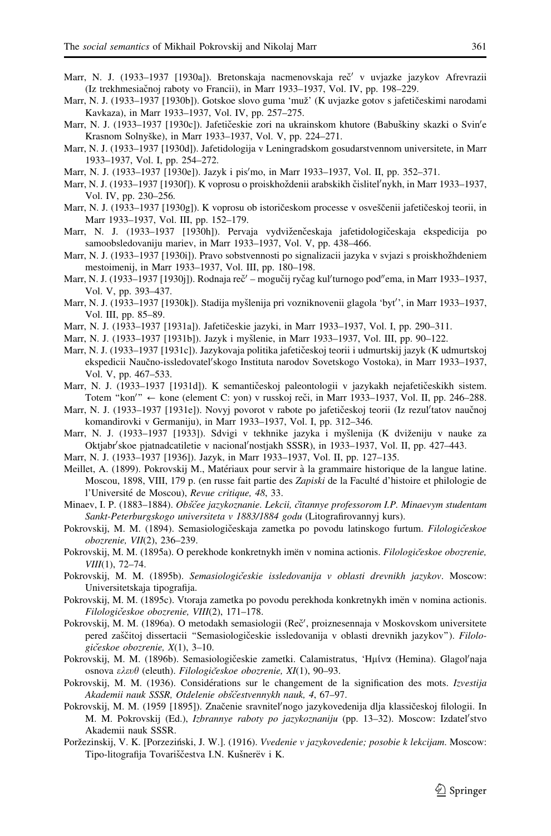- <span id="page-12-0"></span>Marr, N. J. (1933–1937 [1930a]). Bretonskaja nacmenovskaja reč<sup>7</sup> v uvjazke jazykov Afrevrazii (Iz trekhmesiačnoj raboty vo Francii), in Marr 1933-1937, Vol. IV, pp. 198-229.
- Marr, N. J. (1933–1937 [1930b]). Gotskoe slovo guma 'muž' (K uvjazke gotov s jafetičeskimi narodami Kavkaza), in Marr 1933–1937, Vol. IV, pp. 257–275.
- Marr, N. J. (1933–1937 [1930c]). Jafetičeskie zori na ukrainskom khutore (Babuškiny skazki o Svin'e Krasnom Solnyške), in Marr 1933-1937, Vol. V, pp. 224-271.
- Marr, N. J. (1933–1937 [1930d]). Jafetidologija v Leningradskom gosudarstvennom universitete, in Marr 1933–1937, Vol. I, pp. 254–272.
- Marr, N. J. (1933–1937 [1930e]). Jazyk i pis'mo, in Marr 1933–1937, Vol. II, pp. 352–371.
- Marr, N. J. (1933–1937 [1930f]). K voprosu o proiskhožđenii arabskikh čislitel′nykh, in Marr 1933–1937, Vol. IV, pp. 230–256.
- Marr, N. J. (1933–1937 [1930g]). K voprosu ob istoričeskom processe v osveščenii jafetičeskoj teorii, in Marr 1933–1937, Vol. III, pp. 152–179.
- Marr, N. J. (1933–1937 [1930h]). Pervaja vydviženčeskaja jafetidologičeskaja ekspedicija po samoobsledovaniju mariev, in Marr 1933–1937, Vol. V, pp. 438–466.
- Marr, N. J. (1933–1937 [1930i]). Pravo sobstvennosti po signalizacii jazyka v svjazi s proiskhožhdeniem mestoimenij, in Marr 1933–1937, Vol. III, pp. 180–198.
- Marr, N. J. (1933–1937 [1930j]). Rodnaja reč′ mogučij ryčag kul′turnogo pod″ema, in Marr 1933–1937, Vol. V, pp. 393–437.
- Marr, N. J. (1933–1937 [1930k]). Stadija myšlenija pri vozniknovenii glagola 'byt'', in Marr 1933–1937, Vol. III, pp. 85–89.
- Marr, N. J. (1933–1937 [1931a]). Jafetičeskie jazyki, in Marr 1933–1937, Vol. I, pp. 290–311.
- Marr, N. J. (1933–1937 [1931b]). Jazyk i myšlenie, in Marr 1933–1937, Vol. III, pp. 90–122.
- Marr, N. J. (1933–1937 [1931c]). Jazykovaja politika jafetičeskoj teorii i udmurtskij jazyk (K udmurtskoj ekspedicii Naučno-issledovatel'skogo Instituta narodov Sovetskogo Vostoka), in Marr 1933-1937, Vol. V, pp. 467–533.
- Marr, N. J. (1933–1937 [1931d]). K semantičeskoj paleontologii v jazykakh nejafetičeskikh sistem. Totem "kon'" ← kone (element C: yon) v russkoj reči, in Marr 1933–1937, Vol. II, pp. 246–288.
- Marr, N. J. (1933–1937 [1931e]). Novyj povorot v rabote po jafetičeskoj teorii (Iz rezul'tatov naučnoj komandirovki v Germaniju), in Marr 1933–1937, Vol. I, pp. 312–346.
- Marr, N. J. (1933–1937 [1933]). Sdvigi v tekhnike jazyka i myšlenija (K dviženiju v nauke za Oktjabr'skoe pjatnadcatiletie v nacional'nostjakh SSSR), in 1933-1937, Vol. II, pp. 427-443.
- Marr, N. J. (1933–1937 [1936]). Jazyk, in Marr 1933–1937, Vol. II, pp. 127–135.
- Meillet, A. (1899). Pokrovskij M., Matériaux pour servir à la grammaire historique de la langue latine. Moscou, 1898, VIII, 179 p. (en russe fait partie des Zapiski de la Faculté d'histoire et philologie de l'Université de Moscou), Revue critique, 48, 33.
- Minaev, I. P. (1883-1884). Obščee jazykoznanie. Lekcii, čítannye professorom I.P. Minaevym studentam Sankt-Peterburgskogo universiteta v 1883/1884 godu (Litografirovannyj kurs).
- Pokrovskij, M. M. (1894). Semasiologičeskaja zametka po povodu latinskogo furtum. Filologičeskoe obozrenie, VII(2), 236–239.
- Pokrovskij, M. M. (1895a). O perekhode konkretnykh imën v nomina actionis. Filologičeskoe obozrenie, VIII(1), 72-74.
- Pokrovskij, M. M. (1895b). Semasiologičeskie issledovanija v oblasti drevnikh jazykov. Moscow: Universitetskaja tipografija.
- Pokrovskij, M. M. (1895c). Vtoraja zametka po povodu perekhoda konkretnykh imën v nomina actionis. Filologičeskoe obozrenie, VIII(2), 171-178.
- Pokrovskij, M. M. (1896a). O metodakh semasiologii (Reč', proiznesennaja v Moskovskom universitete pered zaščitoj dissertacii "Semasiologičeskie issledovanija v oblasti drevnikh jazykov"). Filologičeskoe obozrenie,  $X(1)$ , 3-10.
- Pokrovskij, M. M. (1896b). Semasiologičeskie zametki. Calamistratus, 'Hµíva (Hemina). Glagol'naja osnova  $\varepsilon \lambda \varepsilon \nu \theta$  (eleuth). Filologičeskoe obozrenie, XI(1), 90–93.
- Pokrovskij, M. M. (1936). Considérations sur le changement de la signification des mots. Izvestija Akademii nauk SSSR, Otdelenie obščestvennykh nauk, 4, 67-97.
- Pokrovskij, M. M. (1959 [1895]). Značenie sravnitel'nogo jazykovedenija dlja klassičeskoj filologii. In M. M. Pokrovskij (Ed.), Izbrannye raboty po jazykoznaniju (pp. 13-32). Moscow: Izdateľstvo Akademii nauk SSSR.
- Poržezinskij, V. K. [Porzeziński, J. W.]. (1916). *Vvedenie v jazykovedenie; posobie k lekcijam*. Moscow: Tipo-litografija Tovariščestva I.N. Kušnerëv i K.